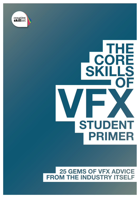

# THE **CORE**<br>SKILLS SKI **STUDENT PRIMER**

#### **25 GEMS OF VFX ADVICE FROM THE INDUSTRY ITSELF**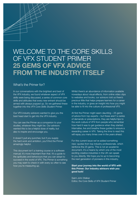### WELCOME TO THE CORE SKILLS OF VFX STUDENT PRIMER **25 GEMS OF VFX ADVICE FROM THE INDUSTRY ITSELF**

#### What's the Primer for?

In our conversations with the brightest and best of the VFX industry, we found whatever aspect of VFX skills were being discussed, a series of common core skills and attitudes that every new entrant should be armed with always popped up. So we gathered these together into this *VFX Core Skills Student Primer.*

Our VFX industry advisors wanted to give you the best head start to get into the VFX industry.

You can see the Primer as a companion to your studies, whatever they might be. Our advisors wanted this to be a helpful dose of reality, but also to inspire and encourage you.

It doesn't pull any punches; but if you supply the hard work and ambition, you'll find the Primer amazingly helpful.

This document isn't a training course or a software manual; it's more important than that. It's a guide to the aptitudes and behaviours that you can adopt to succeed in the world of VFX. The Primer is something you may want to check in with every so often to see how you're measuring up.

Whilst there's an abundance of information available nowadays about visual effects, from online video clips to websites and books, our advisors told us there's precious little that helps prepare learners for a career in the industry, or gives an insight into how you might be able to fit into the culture of professional VFX.

At first the Primer might seem daunting – 25 gems of advice from top experts – but these aren't a series of demands or prescriptions, they are helpful tips to the work culture of VFX from people who remember how hard it was to get guidance when they started. Internalise, live and breathe these guides to ensure a rewarding career in VFX. Taking the time to read this will repay you many times over in the years ahead.

For this current issue we've added something new: quotes from top industry professionals, which reinforce the 25 gems. This is not an academic document, it's a means by which one of the most exciting creative industries in the UK can speak to you directly. We hope you're up to becoming the next generation of pioneers in this industry.

#### **Start your journey into the world of VFX with this Primer. Our industry advisors wish you good luck!**

Saint John Walker Editor, the Core Skills of VFX Student Primer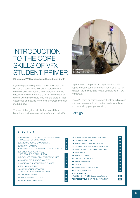### INTRODUCTION TO THE CORE SKILLS OF VFX STUDENT PRIMER

#### **25 gems of VFX advice from the industry itself**

If you are just starting to learn about VFX then this Primer is a good place to start. It represents the voices of over 100 visual effects experts who have successfully risen through the ranks from college or university themselves and who want to pass on their experience and advice to the next generation who are studying now.

The aim of this guide is to list the core skills and behaviours that are universally useful across all VFX



departments, companies and specialisms. It also hopes to dispel some of the common myths (it's not all about technology) and to give you advice on how to improve.

These 25 gems or points represent golden advice and guidance to carry with you and consult regularly as you travel along your path of study.

Let's go!

#### **CONTENTS 1.** WHERE DO YOU FIT INTO THE VFX SPECTRUM: SPECIALIST OR GENERALIST? **5 2.** PATIENCE, YOUNG SKYWALKER… **7 3.** VFX IS A TEAM SPORT **8 4.** VFX: WHERE EFFICIENCY AND CREATIVITY MEET **9 5.** ITS NOT JUST ABOUT YOU, IT'S ABOUT THE PIPELINE TOO **6.** DEADLINES REALLY, REALLY ARE DEADLINES **12 7.** SOMEWHERE, THERE IS A CLIENT **8.** CRITICISM IS A REQUEST FOR CHANGE **9.** EXPLAIN YOURSELF **15 10.** VFX AND THE PHOTOREAL: IS YOUR DRAGON REAL ENOUGH? **17 11.** TAKING PICTURES **12.** LOOK BEFORE YOU LEAP **20 13.** DON'T WAIT TO BE TAUGHT **14.** YOU'RE SURROUNDED BY EXPERTS **22 15.** LEARN THE VFX ABC **23 16.** VFX IS CINEMA, ART AND MATHS **23 17.** MATHS? THAT'S NOT WHAT I EXPECTED **24 18.** KNOW YOUR TOOL: THE COMPUTER **25 19.** FILM THEORY? **26 20.** VFX IS NOT NEW **27 21.** THE ART OF THE EDIT **22.** STYLE AND VISION **28 23.** OPTICS **29 24.** REMEMBER TO HAVE FUN! **29 25**. NOW SURPRISE US **30 POSTSCRIPT 1:** A WORD FOR PARENTS AND GUARDIANS **31 POSTSCRIPT 2:** SO, WHAT'S A PIPELINE? **32**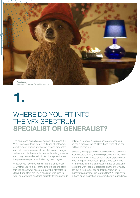

### WHERE DO YOU FIT INTO THE VFX SPECTRUM: **SPECIALIST OR GENERALIST?**

There's no one single type of person who makes it in VFX. People get there from a multitude of pathways, a multitude of studies; maths and physics graduates can help create new realistic simulations and design software and technical solutions, whilst arts graduates can bring the creative skills to fool the eye and make the pulse race quicker with startling new images.

Whether you have strengths in the arts or sciences or whether you're a mix of the two, it's good to start thinking about what role you'd really be interested in doing. For a start, are you a specialist who likes to work on perfecting one thing brilliantly for long periods of time, or more of a talented generalist, spanning across a range of tasks? Both these types of person will find careers in VFX.

Generally the bigger the company (and you have done your research, right?) the more specialist the job roles are. Smaller VFX houses or commercial departments tend to require generalists – people who can model, animate and light and can cover a range of functions to get the work done. Specialists, on the other hand, can get a kick out of seeing their contribution to massive team efforts, like feature film VFX. This isn't a cut and dried distinction of course, but it's a good idea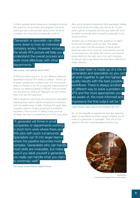to think carefully about where your strengths lie along this spectrum as you learn and progress, because that'll give you a strong steer about which kinds of company you may want to eventually work for.

"Generalist or specialist can often come down to how an individual company works. However, knowing the whole VFX picture will help you understand the overall process and work more effectively with other

#### departments."

Matt Leonard, Lead Lighting Instructor, MPC

To find out where you fit in, try out different roles and specialisms across VFX whilst at college – have a go at areas outside your comfort zone, too. If you're an artist, try Python; if you're a computer science kind of person, try digital sculpting in ZBrush. Find out what you are good at, what your strengths are and where they fit on the VFX spectrum.

Some students instinctively shy away from specialism, believing they need to dazzle prospective employers with the widest array of skills, thinking this gives them a greater chance of being employed somewhere, anywhere. This is a form of faking it and you'll be rumbled. Be true to yourself and you'll find your niche.

"A generalist will thrive in small companies or departments working in short form work where there are little jobs with quick turnarounds. Specialists can fit into larger teams where the pipeline becomes more complex. Generalists who can handle most skills are invaluable, but make sure if you label yourself a generalist you really can handle what you claim to extremely well!"

Phil Dobree, Creative Director, Jellyfish Pictures

Also some students mistakenly think generalist implies some kind of second-class role. Not at all – if your work's good, companies will bite your hand off. Don't be afraid to proudly label yourself as generalist to let everyone know.

Another way to think about this spectrum of talent is from the recruiter's point of view. The easier you can make it for the employer to know which particular area you're good at, whereabouts you are on the spectrum, the better the chance you have of being hired into the right role in the right company. Employers like rough diamonds that have a little bit of shape already.

"The best team is made up of a mix of generalists and specialists so you can all work together to get the highest quality results with the best possible workflows. There is always another or different way to solve a problem in VFX and the more approaches you are aware of, the more informed and impressive the final output will be."

#### Ceylan Shevket, Global Head of Tech Animation, MPC Film

So, try the breadth of experience, but also taste the depth of specialism and then assess whether you're more of a generalist or specialist. That way it'll be easier to find the most rewarding work for you.



*Paddington*  Courtesy of Heyday Films / Framestore.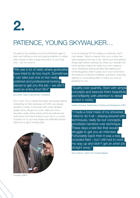### PATIENCE, YOUNG SKYWALKER…

It's great to be ambitious but this stuff takes ages to learn and refining a shot and paying attention to detail often needs to take a large proportion of your total time – but it's worth it.

"We see a lot of reels where graduates have tried to do too much. Sometimes it can take just one or two really polished and professional looking pieces to get you the job – we don't need an entire short film!"

#### Amy Smith, Head of Recruitment, Framestore

Don't rush. Try to master the basic techniques before embarking on that dystopian sci-fi film you always wanted to make. A showreel with a few detailed quality shots will get you work. Take your time – recruiters really notice where shots are refined and meticulous and they'll notice if your roto is a couple of pixels out or your key edges are artificially blurred. Take time to get it looking right.

Courtesy of MPC

If you're learning VFX at college or university, don't rush ahead. There's a reason why your course has been designed the way it has. Serve your time getting things right before rushing into what you consider the more exciting chance to make your own magnum opus. Displaying strong narrative filmmaking and cinematography skills is great, but if your work lacks the bedrock of decent modelling, animation, texturing, lighting or compositing skills it means you end up pleasing no one.

"Quality over quantity. Start with simple concepts and execute them beautifully and brilliantly with attention to detail rooted in reality."

Andrew Schlussel, Global Head of Training and Development, MPC

"I made a total mess of my showreel. I tried to do it all – playing around with techniques, really far-out concepts, prioritised narrative over technique. These days a reel like that would struggle to get you an interview. Fortunately back then it was a less crowded field – but I still had to work my way up and didn't get an artist job straight away."

Gavin Graham, Head of 3D, Double Negative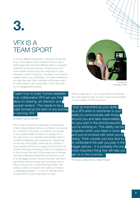### VFX IS A TEAM SPORT

To try out different specialisms, teamwork is the way to go. To be able to show evidence that you are a team player who has tried different roles is a powerful statement at any job interview. Chances are you'll have a better visual product for employers to view. However, a word of warning – be aware you'll need to explain clearly your contribution. It's quite possible the recruiter has seen other members of the same team, so will be keen to get a good idea of who did what – so no exaggerations please!

"Learn how to build 'human readable', truly collaborative VFX set-ups that allow for sharing, art direction and quicker revision. This needs to be a habit formed at the start of any journey in learning VFX."

Ian Murphy, Training Lead, MPC

VFX is often created by a large team of individuals. A team-player attitude will win you friends very quickly. As a member of the team, you need to do enough to any creative asset to ensure it is passed on to the next person to a standard that enables them to contribute efficiently and creatively too. Depending on the size of the facility, there may be a dozen or more people working on a single shot and each one of them will bring something of their own creativity to it. Get to know the rest of the people you're working with and understand what they do and how you fit in to the bigger picture. Discuss the work with them, particularly with the people you're handing over to. What could you do to make their lives easier? Be willing to pitch in and learn new skills too if there's a challenging situation – a 'can-do' attitude will be noticed and it's a good reputation to have.



Courtesy of University of York

VFX is a team sport – so it is important to remember from the beginning that you don't have to be excellent at every aspect of VFX production.

"Just as important as your ability as a VFX artist or technician is your ability to communicate with those around you and take responsibility for your part in the shot/production you're working on. This ability can be forgotten when your head is down and you're involved with what you're doing. Think outside your box and try to understand the part you play in the bigger picture – it is probably the one most important thing that will help you get on in the business."

Phil Dobree, Creative Director, Jellyfish Pictures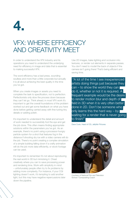

### VFX: WHERE EFFICIENCY AND CREATIVITY MEET

In order to understand the VFX industry and its operations you need to understand the underlying need for efficiency in image and data that is essential to making successful VFX.

The word efficiency has a bad press, sounding soulless and more than a little corporate but actually it is all about achieving the best quality in the time you've got.

When you create images or assets you need to complete the task to specification, not to perfection. Perfectionists only slow the process down because they can't let go. Think ahead; in most VFX work it's important to get the overall foundations of the problem worked out and get some feedback on what you have done before getting carried away with fine-tuning tiny details or adding polish.

It's important to understand the detail and amount of work needed to successfully fool the eye and get the job done. This often means finding appropriate solutions within the parameters you've got. As an example, there's no point using a processor-hungry particle system for a shot that features fog in the distance if shooting dry ice with a video camera will do the job. There's no point creating a complex simulation of a simple building falling down if a crafty animation will do the job more data-efficiently, or stock footage can be used.

It's important to remember it's not about reproducing the real world in 3D but mimicking it. Cheat creatively where you can to save processing power and rendering time. Work with simplicity in mind – unfortunately people often try to fix problems by adding more complexity. For instance, if your CGI lighting doesn't work, it's tempting to add another light, but this may have negative repercussions later down the pipeline.

Use 2D images, bake lighting and occlusion into textures, or render out elements in separate passes. You don't need to model the back of objects if the camera isn't going there! That's being efficient and saving time.

 "A lot of the time I see inexperienced artists doing things just because they can – to show the world they can do it, whether or not it is required. A frequent example would be the desire to render motion blur and depth of field in 3D when it is very often better done in 2D. Don't be someone who only learns this the hard way  $-$  by  $\blacksquare$ waiting for a render that is never going to finish!"

Dave Cook, Head of CG, Jellyfish Pictures



Courtesy of National Film and Television School / Compositing Coach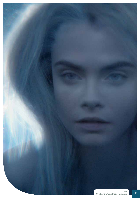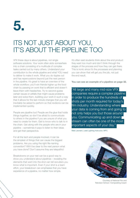### ITS NOT JUST ABOUT YOU, IT'S ABOUT THE PIPELINE TOO

VFX these days is about pipelines, not single software solutions. Your work often slots somewhere into a chain consisting of a multitude of complex tasks carried out by many others. Understand your contribution to the whole pipeline and what YOU need to deliver to make it work. What you do ripples out and has repercussions beyond just the next person in the pipeline. It's great to have an overview of the whole workflow; you'll win friends higher up the food chain by passing on work that is efficient and doesn't leave them with headaches. Try to second-guess certain issues or pitfalls that might cause problems later and solve them, building your work in such a way that it allows for the last-minute changes that you will inevitably be asked to perform so that revisions can be implemented quickly.

People are pipeline too! People are the glue that holds things together, so don't be afraid to communicate to others in the pipeline if you are unsure of what you need to create for them. Get to know who to talk to in the chain. Get along with the people who are in your pipeline – sometimes it pays to listen to their ideas and get their perspective.

For all the tech and people involved, it can be the simplest of things that can cause the biggest problems. Are you using the right file-naming convention? Will it be clear to the next person what you have done? Don't assume they are telepathic!

Breakdowns on your reel can be a good way to show you understand about pipelines – revealing the elements that went into the shot can tell recruiters you know what is important. Even if your shot is a team effort, your breakdown can emphasise that you have experience of a pipeline, no matter how simple.

It's often said students think about the end product they want too much and don't think through the stages of the process and how they can get there. This is ironic since it's the processes and planning you can show that will get you the job, not just the end result.

**You can see an example of a pipeline on page 32.**

"All large and many mid-size VFX companies require a complex pipeline in order to produce the hundreds of shots per month required for today's film industry. Understanding where your data is coming from and going to not only helps you but those around you. Communicating up and down stream can often be one of the most important aspects of your day."

Matt Leonard, Lead Lighting Instructor, MPC



Courtesy of National Film and Television School / Compositing Coach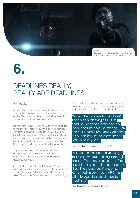

### DEADLINES REALLY, REALLY ARE DEADLINES

#### No, really.

At school and college sometimes deadlines can be stretched or deferred, but not in the professional world of VFX. You'll gain the respect of the whole team if you are dependable and hit your deadlines.

It's important to realise you can't work on any product to the level of perfection you might think it deserves. The allotted time is all you've got. There'll always be room for improvements, but that's not the point. Keep things simple. The encroaching deadline always trumps any work completed to your own level of perfection. Doing what's needed so the shot works is essential.

VFX is creative work and there's always a level of unpredictability involved. It's not unusual to work late or even the occasional weekend as deadlines approach.

It's useful to have a 'Plan B' if things don't go to schedule – what can you jettison to get the task done at the right quality? What are the shortcuts you can take? Can you use fewer textures or simpler shading? Of course there can be a lot of pressure as deadlines loom, but there's also a real sense of satisfaction and achievement to be had from nailing the shot in time.

"My number one rule for deadlines? There's no such thing as a 'soft deadline'; each and every one is a 'hard' deadline because missing even one has a hard direct knock-on effect to your colleagues downstream and each is acutely felt."

Lauren Knowlton-Parry, Head of Production, MPC

"Sometimes junior staff dive straight into a shot without thinking it through enough. That often means more fixes and ultimately more time spent on the shot. The old adage of 'more haste, less speed' is very true in VFX and will help you hit those all-important deadlines."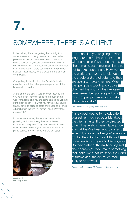### SOMEWHERE, THERE IS A CLIENT

In the industry it's about getting the shot right for someone else – not for you – and you need to be professional about it. You are working towards a client's satisfaction, usually communicated through your line manager. This doesn't necessarily mean your work is uncreative – there can be great interpretation involved; much leeway for the artist to put their mark on the work.

Completing the brief to the client's satisfaction is more important than what you may personally think is fantastic or finished.

At the end of the day, VFX is a service industry and you have been 'commissioned' to produce some work for a client and you are being paid to deliver that. If the client doesn't like what you have produced, it's usually down to personal taste or it needs to fit in with other shots in the film you haven't seen. Don't take it personally!

In certain companies, there's a skill in secondguessing and pre-empting the client's future comments or requests. They need to feel it is their vision, realised through you. There's little room for prima donnas in VFX – if you want to get paid!



Courtesy of University of York

"Let's face it  $-$  you're going to work long hours sometimes under stress with complex software tools and a short time scale: sometimes it's hard not to take it personally. However, I the work is not yours: it belongs to the studio and the director and they are going to make changes. When the going gets tough and you've changed the shot for the umpteenth time, remember you are part of a much bigger picture so don't take it too personally."

Matt Leonard, Lead Lighting Instructor, MPC

"It's a good idea to try to educate yourself as much as possible about the client's taste. If they've directed other films, watch them. Have a look at what they've been approving and kicking back on the film you're working on. Do they like things subtle and underplayed or huge and flamboyant? Do they prefer gritty reality or stylised choreography? If you make something that looks like a natural fit for their kind of filmmaking, they're much more likely to approve it."

Eugenie von Tunzelmann, CG Supervisor, Double Negative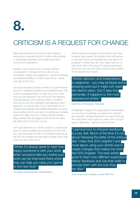### CRITICISM IS A REQUEST FOR CHANGE

Many new entrants find it hard to take criticism, because at university criticism is often diplomatically or sensitively presented and usually lacks blunt commercial imperatives.

A better way to look at it is to accept criticism as requests for change and not a slur on your sensibilities. Taking and adapting to criticism positively and dispassionately is of prime importance – leave your ego at the door.

Don't get attached to shots or think you'll gain brownie points for needless flourishes and embellishments. Part of this is accepting there's no right way to do a shot and your pet approach may not be the one required. There are always a few ways to achieve a finished shot and it's your line manager's call regarding which approach you should take. If he or she wants you to change those delicate and tasteful flourishes you spent hours putting into the shot with something you consider brash and vulgar, they're not being cultural vandals – they probably see the bigger picture and know what the client wants more than you do.

Don't get attached to a certain solution or a particular shot. It could be brilliant and yet still be cut from the film. The actual edit of a film is sometimes evolving as the VFX are created and this means certain shots may never be used. Get over it!

"Whilst it's always great to hear how happy someone is with your work, when someone tells you where your work can be improved that's when they can help you raise your game to the next level."

Lucy Salter, 3D Artist Manager, Double Negative

All the people you respect in the industry got there because they treated the criticism they received as a vital part of their self-development and used it to progress to where they are now. Take a leaf out of their book. Don't shy away from being transparent about the work you are doing. Show it when asked. It's an opportunity to grow.

"Artistic direction and interpretation is subjective – you may produce some amazing work but it might not meet the client's vision. Don't take this personally. It happens to the most experienced artists."

#### Stuart Penn, CG Supervisor, Framestore

Incidentally, in large VFX organisations HR appraises you on how successfully you respond to criticism and requests. Straight feedback and hard truths are the most direct way to get your work done, so don't expect diplomacy – there's no time for that.

"Learning how to interpret feedback is a key skill. Much of the time it's not about following the letter of the critique (like 'make that 20% brighter') and more about using your artistic eye to create changes that makes the shot feel 20% brighter. The best artists grow to learn how different supervisors deliver feedback and use their skills to provide them with the look they are after."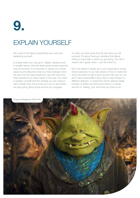### EXPLAIN YOURSELF

Get used to the idea of presenting your work and explaining yourself.

In a large team you may go to 'dailies' sessions and in smaller teams, informal desk-based review sessions may be involved. It is important to speak up in these sessions and describe what you have changed since the last time the client/supervisor saw the work and what decisions you have made on the way. You need to explain yourself and the strategy you are using to nail a certain shot, the journey you are on and where you are going; giving those around you progress

on what you have done thus far and how you will proceed. It's about having a narrative that allows others to have faith in what you are doing. You don't need to be a great orator – just tell it like it is.

Don't be afraid to speak up to your supervisors during review sessions. If you have ideas on how to make the shot look better or get it done quicker then say so, but don't take it personally if they want to take things in a different direction. A supervisor will be seeing a large number of artists and shots and there is a certain amount of 'selling' your work that you have to do.

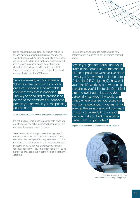Being honest pays, big time. It's human nature to try and cover up or ignore problems, especially if you think others will be judging your ability to do the job properly. In VFX, small problems easily snowball into huge issues as they pass through different departments and you need to understand that there'll be trouble further down the line if you don't communicate now. It's VFX karma.

"You are already a good speaker. When you are with friends or loved ones you speak in a comfortable, confident way that is engaging. The key to speaking to groups is to be the same comfortable, confident person you are when you're speaking one on one."

Andrew Schlussel, Global Head of Training and Development, MPC

It's not a sign of weakness to ask for help when you are struggling. You'll be respected because you are ensuring the project keeps on track.

Also, be honest with regard to estimating time. A supervisor or other team member needs an honest overview of how long something will take in order to structure all other aspects of a shot/sequence/show properly. If you've got two days but you think it'll take four, tell them. They'll be much happier if you're honest so they can draft in some help and still hit the deadline!

Remember everyone makes mistakes and new entrants aren't expected to be the perfect, finished article.

"When you get into dailies and your submission comes up on the screen, tell the supervisors what you've done – what you've worked on in the shot (Animation? FX? Lighting?), how well you think it's working and what else, if anything, you'd like to do. Don't feel afraid to point out things you don't personally like about the work, or things where you feel you could do with some guidance. If you just sit in silence, the supervisors will comment on stuff you already know – and assume that you think the work is perfect. Not a good idea."

Eugenie von Tunzelmann, CG Supervisor, Double Negative



Courtesy of National Film and Television School / Compositing Coach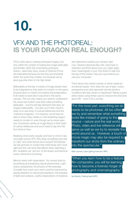### VFX AND THE PHOTOREAL: **IS YOUR DRAGON REAL ENOUGH?**

VFX is often about creating photoreal imagery, but only within the context of making the image believable and familiar within the world being portrayed. Gollum, Jake Sully, Davy Jones or Optimus Prime are believable because we feel they are photoreal within the world they inhabit, not because we've seen guys like them in the high street.

Believability is the key. A variety of image assets have to be integrated so they seem to conform to the same physical laws no matter how bizarre the juxtaposition. It all needs to looks like it was shot in the same camera. This not only means you need to understand the visual and motion cues that make something believable – and the tell-tale elements that deny an image's believability – but also you'll often need to draw on a vast array of cultural references and the 'collective imaginary'. For instance, we all have an idea of what a fairy castle or a fire-breathing dragon needs to consist of, even though we've never seen one. Everybody carries an image library in their head of culture references and you'll need to tap into this from time to time.

Realising what works visually and how to mimic it are core skills across VFX. Why does something look real or 'right' and what factors are involved? Sometimes we see pictures on screen that instinctively don't look right and this can have dire effects when watching a film. Suddenly we 'opt out' of the illusion and become overly critical and nit picking.

Mimicry starts with observation. You should start by scrutinising and analysing natural phenomena. Light, colour, perspective, the physics of the everyday. Consider how much your work could be improved by paying attention to natural atmospherics, the interplay of light and surfaces, careful observations of shadows

and reflections outside your window right now. Observe elements like mist, heat haze or refraction and think about how you might apply them meaningfully in your CGI shots to help fool the eye of the viewer. Use your eyes before you use your computer!

Think about why certain scenes or shots create an emotional impact. How does the use of light, colour, perspective and other elements denote emotive conditions like fear, doubt or happiness? Being a good artist means using these cues to improve the shot and give it life – even if it's a zombie.

"For the most part, everything we do needs to be photoreal. All too often we try and remember what something looks like instead of going to the source – nature and the real world. Photo, video and live reference will serve us well as we try to recreate the world around us. However, a touch of movie magic may also be required to transform our shots from the ordinary into the spectacular."

Matt Leonard, Lead Lighting Instructor, MPC

"When you learn how to be a feature film compositor, you will be learning how to become a forensic forger of photography and cinematography."

Ian Murphy, Training Lead, MPC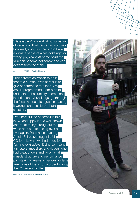"Believable VFX are all about constant observation. That new explosion may look really cool, but the public have an innate sense of what looks right or wrong physically. At some point the VFX can become noticeable and can detract from the story."

Jason Harris, TD FX at Double Negative

"The hardest animation to do is that of a human; even harder is to give performance to a face. We are all 'programmed' from birth to understand the subtlety of emotion, intention and visual language through the face, without dialogue, as reading it wrong can be a life-or-death situation.

Even harder is to accomplish this in CG and apply it to a well-known actor that many throughout the world are used to seeing over and over again. Recreating a young Arnold Schwarzenegger in full CG form is what we had to do for *Terminator Genisys*. Doing so meant animators, modellers and riggers who had great understanding of facial muscle structure and performance painstakingly analysing various footage selections of the actor in order to bring the CG version to life."

Greg Fisher, Global Head of Animation, MPC

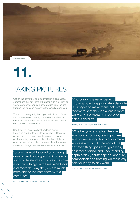

### TAKING PICTURES

Get off the computer and look through a lens. Get a camera and get out there! Whether it's an old Nikon or your smartphone, you can get so much from looking through the lens and observing the world around you.

The art of photography helps you to look at surfaces and be sensitive to how light and shadow effect an image and – importantly – what a certain kind of lens can contribute to an image.

Don't feel you need to shoot anything exotic – there's no need to take a plane anywhere. Observe people, natural forms, even things on your street. Try photographing examples of the interplay of light on objects, how colours clash or match, how framing and focus can change how we feel about what we see.

"Study the world around you through drawing and photography. Artists who try to understand as much as they can about why things in the real world look and move the way they do are much more able to recreate them with a computer."

"Photography is never perfect. Knowing how to appropriately degrade CG images to make them look like they were shot through a lens is what will take a shot from 95% done to being signed off."

Anthony Smith, VFX Supervisor, Framestore

"Whether you're a lighter, texture artist or compositor, taking pictures and understanding how your camera works is a must. At the end of the day everything goes through a lens, be it real or digital and understanding depth of field, shutter speed, aperture, composition and framing will massively help your day-to-day work."

Matt Leonard, Lead Lighting Instructor, MPC

Anthony Smith, VFX Supervisor, Framestore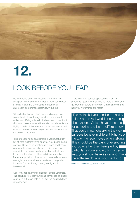

### LOOK BEFORE YOU LEAP

New students often feel most comfortable diving straight in to the software to create work but without thinking ahead this often leads to calamity or unforeseen compromises later down the line.

Take a leaf out of industry's book and always take some time to think through what you are about to embark on. Being able to look ahead and dissect both shots and tasks into constituent steps or elements is a highly prized skill that needs to be worked on and will save you weeks of work on your course AND improve the quality of your work.

Take rotoscoping as an example. If you impetuously set off roto'ing from frame one you would soon come undone. Better to do what industry does and lessen your workload enormously by breaking your shot down into a series of overlapping shapes that lead to more automation and less individual frame-byframe manipulation. Likewise, you can easily become entangled in a sprawling and inefficient composite if you don't think through how you might build it beforehand.

Also, why not plan things on paper before you start? This can help you get your ideas composed and help you figure out tasks before you get too bogged down in technology.

There's no one 'correct' approach to most VFX problems – just ones that may be more efficient and quicker than others. Drawing or simple sketching can help you work things out faster.

"The main skill you need is the ability to look at the real world and re-use I observations. Artists have done this for centuries and it's no different now. That could mean observing the way surfaces behave in different lighting, or the way the face moves when talking. This should be the basis of everything you do – rather than being led by particular software to work in a certain way, you should have a goal and make the software do what you want it to."

Dave Cook, Head of CG, Jellyfish Pictures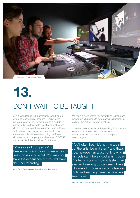

## **13.** DON'T WAIT TO BE TAUGHT

A VFX world tends to be a freelance world, so be aware of technological changes – keep yourself up to date as you go. Be self-motivated and don't expect in-house training (although plenty of places do it) to solve all your training needs. Keep in touch with developments in your chosen field through magazines, internet forums and blogs, software documentation, company websites, even SIGGRAPH and scour YouTube and Vimeo for tutorials.

"Make use of company VFX breakdowns and industry resources to see who is doing what. You may not have the experience but you will have the understanding."

Anna Swift, Recruitment & Talent Manager, Framestore

We live in a world where you never finish learning and everyone in VFX needs to be proactive in keeping up to date. This actually can be great fun.

In quieter periods, never sit there waiting for someone to tell you what to do. Be proactive, find some meaningful work to do for the team and people will notice you.

"You'll often hear 'it's not the tools but the artist behind them' and that's true; however, an artist not knowing his tools can't be a good artist. Today VFX technology is moving faster than ever and keeping up can seem like a full-time job. Focusing in on a few key tools and learning them well is a very smart idea."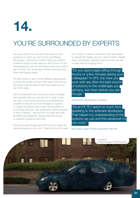### YOU'RE SURROUNDED BY EXPERTS

As a new entrant you shouldn't be scared to ask questions or admit you don't know something! Be forward – get info from others when you need it, instead of trying to hide what you don't know. It's not embarrassing to ask for information twice if you didn't get it at first. Your enthusiasm will be noted and your work will progress faster.

It's often useful to get to know different departments at work and to talk to those either side of the job you are doing to get an idea of what they need if you're not 100% clear.

Get to understand who around you has knowledge and expertise that you can tap into in order to get the task in hand done as quickly and efficiently as possible. It may be your line manager or superior, or maybe the person who's been working there for a bit longer than you. Ask respectfully and be sensitive to their workload – disturb them too often and their goodwill may disappear. Always read the manual or research problems online first.

One of the great things about VFX is you're rarely the cleverest person in the room. There's so much to learn from others. In certain companies there are leaders or department heads who you need to follow. Identify those with greater experience and use them as role models without bugging them!

"Do you spend ages sifting through forums or a few minutes asking your colleagues? In VFX, the crew you work with are often the best source of solutions to the challenges you will face. Ask them before you ask Google."

Anthony Smith, VFX Supervisor, Framestore

"As an FX TD I learnt so much from speaking to the software developers. That helped my understanding of the systems we use and this advanced my own work."

Rob Hopper, London FX Head of Department, MPC Film

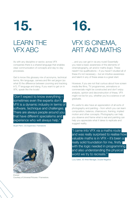LEARN THE VFX ABC

As with any discipline or sector, across VFX companies there is a shared language that enables clear communication of concepts and day-to-day processes.

Get to know this glossary mix of acronyms, technical terms, film language, camera and film set jargon (so what IS the difference between zooming and tracking in?), IT language and slang. If you want to get on in VFX, speak like the locals!

"Don't expect to know everything – sometimes even the experts don't. VFX is a dynamic industry in terms of software, technique and challenges. There are always people around you that have different specialisms and experience who will always help."

Stuart Penn, CG Supervisor, Framestore



*Everest*  Courtesy of Universal Pictures / Framestore.

## **15. 16.**

### VFX IS CINEMA, ART AND MATHS

…and you can get in via any route! Essentially you need a basic awareness of the elements of cinematography, art and/or maths (logic). These needn't be qualifications – if you haven't studied all of these it's not necessary – but an intuitive awareness and talent in any of these areas is a great start.

However, if you are not that curious about how screen media like films, TV programmes, animations or commercials might be constructed and don't enjoy analysis, opinion and deconstruction of these, VFX might not be for you, whether you're a science or art graduate.

It's useful to also have an appreciation of all sorts of photography and painting – from which you can learn composition, balance, chiaroscuro, framing, implied motion and other concepts. Photography can help you observe and frame what is real and painting can help you appreciate what it takes to replicate and suggest reality.

"I came into VFX via a maths route and was really surprised to realise how valuable maths is in VFX - it's been a really solid foundation for me, firstly with the logic needed in programming and also understanding the physical world we try to recreate."

Lucy Salter, 3D Artist Manager, Double Negative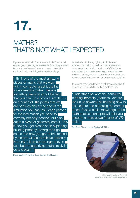### MATHS? THAT'S NOT WHAT I EXPECTED

If you're an artist, don't worry – maths isn't essential (just as good drawing isn't essential for a programmer) but an appreciation of what you can achieve with maths will help you bridge the artist-techie gap.

"I think one of the most amazing pieces of maths that we work with in computer graphics is the transformation matrix. There is something magical about the fact that you can run a physics simulation on a bunch of little points that we call particles and at the end of the simulation you can 'ask' each particle for the information you need to correctly not only position, but also orient a piece of geometry onto it. This is how you get pieces of an exploding building properly moving through space and how you get debris tossed by a storm at sea to behave correctly. Not only is it embarrassingly easy to use, but the underlying maths really is quite elegant."

Daniel Maskit, FX/Pipeline Supervisor, Double Negative

It's really about thinking logically. A bit of mental arithmetic can help you work out how mattes work, for instance. If you are into maths, our VFX advisors emphasised the importance of trigonometry, but also matrices, vectors, applied mechanics and basic algebra as examples of what is useful, as well as basic scripting.

It was also mentioned that a bit of knowledge about physics will help with 3D particle systems too.

"Understanding what the computer is doing internally (matrices, vectors, etc.) is as powerful as knowing how to mix colours and choosing the correct brush. Even a basic knowledge of the mathematical concepts will help you become a more powerful user of VFX tools."

Tom Reed, Global Head of Rigging, MPC Film



Courtesy of National Film and Television School / Compositing Coach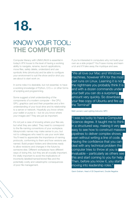### KNOW YOUR TOOL: **THE COMPUT**

Computer literacy with UNIX/LINUX is essential in today's VFX house to the level of having a working ability to navigate, rename, launch applications, move files, safely delete, understand and use symbolic links (shortcuts) and be able to configure your environment to suit the show and/or shot you are about to start work on.

In some roles it is desirable, but not essential, to have a working knowledge of Python, C/C++ or other forms of scripting and programming.

Some suggest a brief understanding of the components of a modern computer – the CPU, GPU, graphics card and their properties and a firm understanding of your local drive and its relationship to a server or network. Hopefully you know where your wallet or purse is – but do you know where your images are? They are just as important.

It's not just a case of knowing where your files are, but what they are called. They need to correspond to the file-naming conventions of your workplace. Idiosyncratic names may make sense to you, but not to colleagues who need to use your work later. You'll need to appreciate the importance of naming protocols, conforming to them and how versions are named. Build project folders and directories ready to allow revisions and changes in the future by someone else. Different workplaces have different ways of doing this, but they are all crucially important. It's vitally important to avoid the implications of incorrectly labelled/named/stored files and the potentially costly and catastrophic consequences of poor file management.

If you're interested in computers why not build your own as a side project? You'll save money and learn a lot and it'll take away the mystique and awe.

"We all love our Mac and Windows machines, however VFX for the most part runs on Linux. Learning it is not the nightmare you probably think it is and with a dozen commands under your belt you can do a surprising amount very quickly. So download your free copy of Ubuntu and fire up the Terminal!"

Matt Leonard, Lead Lighting Instructor, MPC

"I was so lucky to have a Computer Science degree. It taught me to think in a structured way, making it very easy to see how to construct massive pipelines to deliver complex shows, even without writing a line of code. Having the confidence that you can deal with any technical problem the computer tries to throw at you is invaluable – particularly as others see this and start coming to you for help. Then, before you know it, you start moving into leadership roles."

Gavin Graham, Head of 3D Department, Double Negative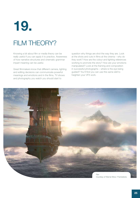## **19.** FILM THEORY?

Knowing a bit about film or media theory can be really useful if you can apply it to practice. Awareness of how narrative structures and cinematic grammar impart meaning can be useful.

Great filmmakers know that different camera, lighting and editing decisions can communicate powerful meanings and emotions and in the films, TV shows and photography you watch you should start to

question why things are shot the way they are. Look at the shots and cuts in films at the cinema – why do they work? How are the colour and lighting references working to promote the story? How are your emotions manipulated? Look at the framing and composition in successful photographs – where is the eye being guided? You'll find you can use this same skill to heighten your VFX work.

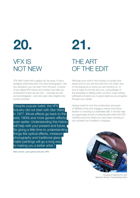### **20. 21.** VFX IS NOT NEW

VFX didn't start with a galaxy far, far away. It has a pedigree stretching back into early photography. Like any discipline, you can learn from the past. A sense of pre-digital VFX history and context can help you understand where we are now – culturally as well as technologically – and can open new insights into current practice.

"Despite popular belief, the VFX industry did not start with *Star Wars* in 1977. Movie effects go back to the early 1900s and more generic effects even earlier. Understanding this history will help with your present and future. So giving a little time to understanding things like optical effects, miniature photography and traditional glass matte paintings will go a long way to making you a better artist."

Matt Leonard, Lead Lighting Instructor, MPC

### THE ART OF THE EDIT

Although your work in the industry is usually shotbased and so you are removed from the wider view of the sequence or scene you are working on, or how it might fit into the story arc, a knowledge of the principles of editing (note: we don't mean editing software) will stand you in good stead as you progress through your career.

Having a feel for how the construction and pace of different shots can engage a viewer and imbue tension or meaning is a bankable skill. It will also help you appreciate the job of editorial staff within the VFX workflow and how shots you have been working on can suddenly be modified or dropped.



Courtesy of National Film and Television School / Compositing Coach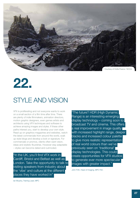

### STYLE AND VISION

VFX is proliferating and not everyone wants to work on a small section of a film time after time. There are plenty of indie filmmakers, animation directors, motion graphic designers, even games artists and architects using VFX techniques and software to achieve amazing images and styles. If these other paths interest you, start to develop your own style. Read up on graphics magazines and websites, watch the latest commercials from around the world, soak up style blogs and develop a look or signature. For commercials or promos, clients often want vision, ideas and stylistic flourishes. However stay adaptable – styles can become dated and outmoded.

"In the UK, you'll find VFX work in Cardiff, Bristol and Belfast as well as London. Take the opportunity to talk to visiting speakers from industry about the 'vibe' and culture at the different places they have worked in"

"The future? HDR (High Dynamic Range) is an interesting emerging display technology – coming soon to broadcast TV and cinema. This offers a real improvement in image quality with increased highlight range, deeper blacks and increased colour palette to give more realistic representation of real world colours than we've previously seen on 'traditional' display technologies. This could create opportunities for VFX studios to generate ever more spectacular images with greater impact."

John Frith, Head of Imaging, MPC Film

Ian Murphy, Training Lead, MPC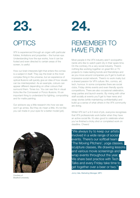### **OPTICS**

VFX is experienced through an organ with particular foibles, limitations and properties – the human eye. Understanding how the eye works, how it can be fooled and even directed to certain areas of the screen, is useful.

How our brain interprets light that enters the cornea is a subject in itself. They say the brain is the most complex thing in the universe, but an experience of optical illusions will quickly give an idea of how visuals can be misinterpreted. As an example, colours can appear different depending on other colours that surround them. Tones too. You can see this in visual tricks like the Cornsweet or Ponzo illusions. It's an important thing to understand for lighting, compositing and for matte painting.

Our advisors say a little research into how we see won't go amiss. But they do mean a little. It's not like you can trade-in your eyes for a better model (yet).



### REMEMBER TO HAVE FUN!

Most people in the VFX industry aren't sociopathic nerds who like to watch paint dry in their spare time. On the contrary, it's a very social industry. There's nothing like working together on great film or TV projects to make lasting bonds and friendships and as you move around companies you'll get to build an impressive social network. There's no work rivalry but a shared passion for VFX culture: film, comics, art, tech, humour. In some companies there are social clubs, Friday drinks events and even friendly sports competitions. There are also occasional celebration, wrap parties and launch events. By mixing with other staff socially at events you'll get to hear news and swap stories (while maintaining confidentiality) and build up a sense of what others in the VFX community are doing.

Whilst VFX isn't a 9-5 kind of job, everyone recognises that VFX professionals work better when they have an active social life. It's also good to celebrate when you've finished a tricky shot or completed work on deadline. Cheers!

Courtesy of Bradford University

"We always try to keep our artists involved in a wide range of social events. There's our softball team ( 'The Moving Pitchers', yoga classes, sculpture classes, life drawing lessons and various movie screenings and wrap events throughout the year. We share best practice with Tech Talks and every Friday take time to get together over a beer or two."

Jonny Vale, Marketing Manager, MPC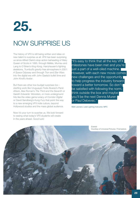

### NOW SURPRISE US

The history of VFX is still being written and relies on new talent to surprise us all. VFX has been surprising us since Alfred Clark's stop-action beheading of Mary Queen of Scots in 1895, through Méliès, Murnau and Lang to O'Brien's *King Kong*, Harryhausen's fighting skeletons, Trumbull's gravity-free atmosphere in *2001: A Space Odyssey* and through *Tron* and *Star Wars* into the digital era with John Gaeta's bullet time and John Knoll's *Avatar*.

But there are other low-budget surprises too – startling work like Uruguayan Fede Alvarez's *Panic Attack*, Alex Roman's *The Third and the Seventh* or Gareth Edwards' *Monsters*, or more underground hits like the video game lunacy of *Corridor Digital* or David Sandberg's *Kung Fury* that point the way to a new emerging VFX indie culture, beyond Hollywood studios and the mass global audience.

Now it's your turn to surprise us. We look forward to seeing what today's VFX students will create in the years ahead. Good luck!

"It's easy to think that all the key VFX milestones have been met and you're just a part of a well-oiled machine. However, with each new movie comes new challenges and the opportunity to help progress the industry forward toward a better tomorrow. So don't be satisfied with following the norm, think outside the box and maybe you'll be the next Dennis Muren | or Paul Debevec."

Matt Leonard, Lead Lighting Instructor, MPC

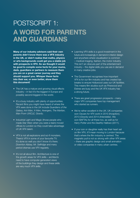### POSTSCRIPT 1: **A WORD FOR PARENTS AND GUARDIANS**

**Many of our industry advisors said their own parents didn't know there was a VFX industry in the UK, or didn't realise that maths, physics or arts backgrounds could get you a stable job with prospects in VFX. So we thought it would be good to compile some facts for your mums, dads, guardians or partners to reassure them you are on a great career journey and they should support you. Whisper these facts into their ear, or even better, show them this document!**

- The UK has a mature and growing visual effects industry – in fact it's the biggest in Europe and possibly second-biggest in the world.
- It's a busy industry with plenty of opportunities. Recent films you might have heard of where the VFX were done in the UK include *Guardians of the Galaxy, Ant-Man, X-Men, Avengers, The Martian, Man From UNCLE, Gravity*.
- Industrial Light and Magic (those people who made *Star Wars* when you were a teen) moved offices to London so they could take advantage of UK VFX talent.
- VFX is not all explosions and sci-fi monsters. There's VFX in some of your favourite TV. It's done so well you don't know it's there. *Downton Abbey, Mr. Selfridge* and many period dramas use VFX regularly.
- It's not all about film. Architecture is one of the growth areas for VFX skills – architects need to have computer-generated views of the buildings they design and these skills are very much VFX skills.
- Learning VFX skills is a good investment in the future and increasingly in demand in interior design and anywhere where visualisation is common – medical imaging, fashion, the motor industry. This isn't an obscure part of the entertainment industry – the digital skills you use are in demand in many creative jobs.
- The Government recognises how important VFX is for our film industry and has created tax breaks to ensure Hollywood uses our UK facilities. This means film studios such as Pinewood and Elstree are busy and the UK VFX industry has a strong future.
- There are great progression prospects many major VFX companies have top management who started as runners.
- We're rather excellent in the UK. UK companies won Oscars for VFX work in 2010 *(Inception)*, 2013 *(Gravity)* and 2014 *(Interstellar)*. We won BAFTAs for all these too, as well as for *Harry Potter and the Deathly Hallows* (2011).
- If your son or daughter really has their heart set on film VFX, it'll mean moving to London because that's where the film industry is centred. The magnetic pull is not so strong with other VFX areas – there are graphic design and small animation or video companies in many urban centres.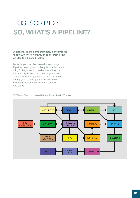### POSTSCRIPT 2: **SO, WHAT'S A PIPELINE?**

#### **A pipeline, as the name suggests, is the process that VFX work flows through to get from being an idea to a finished reality.**

Many people might be involved at each stage. Pipelines can vary in complexity, but the important thing for beginners is to realise where they fit in and who might be affected later by your work. Tiny problems can get amplified as a flaw travels through, so it's often good to know who your neighbours are and talk to them if you have any issues.



#### VFX Pipeline Chart courtesy of Jahirul Amin, Double Negative 3D trainer.